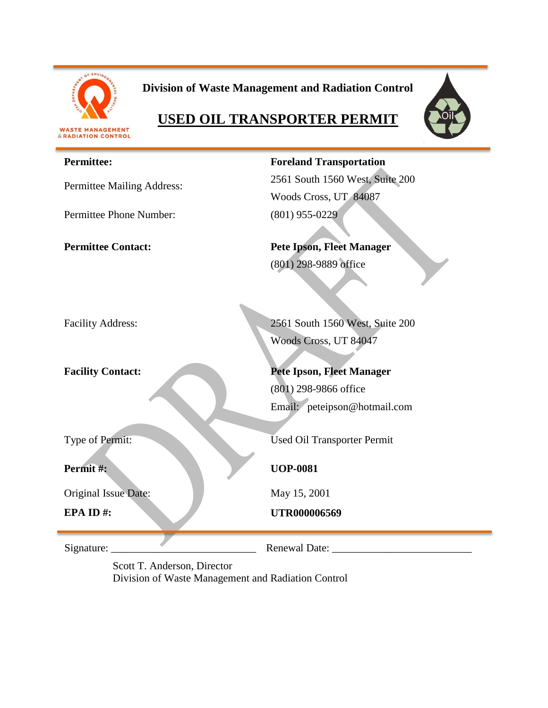

**Division of Waste Management and Radiation Control**



# **USED OIL TRANSPORTER PERMIT**

#### **Permittee:**

Permittee Mailing Address:

Permittee Phone Number: (801) 955-0229

**Foreland Transportation** 2561 South 1560 West, Suite 200 Woods Cross, UT 84087

**Permittee Contact: Pete Ipson, Fleet Manager** (801) 298-9889 office

Facility Address: 2561 South 1560 West, Suite 200 Woods Cross, UT 84047

**Facility Contact: Pete Ipson, Fleet Manager**

(801) 298-9866 office Email: peteipson@hotmail.com

Type of Permit: Used Oil Transporter Permit

**UOP-0081**

May 15, 2001

**EPA ID #: UTR000006569** 

**Permit #:**

Original Issue Date:

Signature: \_\_\_\_\_\_\_\_\_\_\_\_\_\_\_\_\_\_\_\_\_\_\_\_\_\_\_ Renewal Date: \_\_\_\_\_\_\_\_\_\_\_\_\_\_\_\_\_\_\_\_\_\_\_\_\_\_

Scott T. Anderson, Director Division of Waste Management and Radiation Control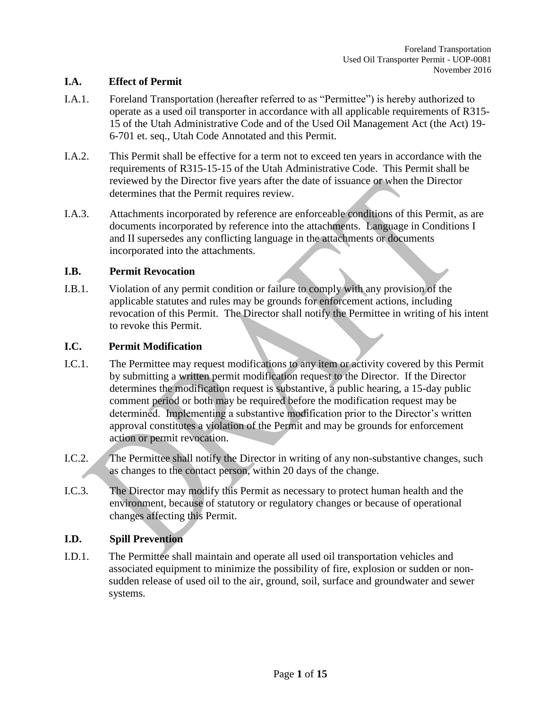## **I.A. Effect of Permit**

- I.A.1. Foreland Transportation (hereafter referred to as "Permittee") is hereby authorized to operate as a used oil transporter in accordance with all applicable requirements of R315- 15 of the Utah Administrative Code and of the Used Oil Management Act (the Act) 19- 6-701 et. seq., Utah Code Annotated and this Permit.
- I.A.2. This Permit shall be effective for a term not to exceed ten years in accordance with the requirements of R315-15-15 of the Utah Administrative Code. This Permit shall be reviewed by the Director five years after the date of issuance or when the Director determines that the Permit requires review.
- I.A.3. Attachments incorporated by reference are enforceable conditions of this Permit, as are documents incorporated by reference into the attachments. Language in Conditions I and II supersedes any conflicting language in the attachments or documents incorporated into the attachments.

### **I.B. Permit Revocation**

I.B.1. Violation of any permit condition or failure to comply with any provision of the applicable statutes and rules may be grounds for enforcement actions, including revocation of this Permit. The Director shall notify the Permittee in writing of his intent to revoke this Permit.

### **I.C. Permit Modification**

- I.C.1. The Permittee may request modifications to any item or activity covered by this Permit by submitting a written permit modification request to the Director. If the Director determines the modification request is substantive, a public hearing, a 15-day public comment period or both may be required before the modification request may be determined. Implementing a substantive modification prior to the Director's written approval constitutes a violation of the Permit and may be grounds for enforcement action or permit revocation.
- I.C.2. The Permittee shall notify the Director in writing of any non-substantive changes, such as changes to the contact person, within 20 days of the change.
- I.C.3. The Director may modify this Permit as necessary to protect human health and the environment, because of statutory or regulatory changes or because of operational changes affecting this Permit.

## **I.D. Spill Prevention**

I.D.1. The Permittee shall maintain and operate all used oil transportation vehicles and associated equipment to minimize the possibility of fire, explosion or sudden or nonsudden release of used oil to the air, ground, soil, surface and groundwater and sewer systems.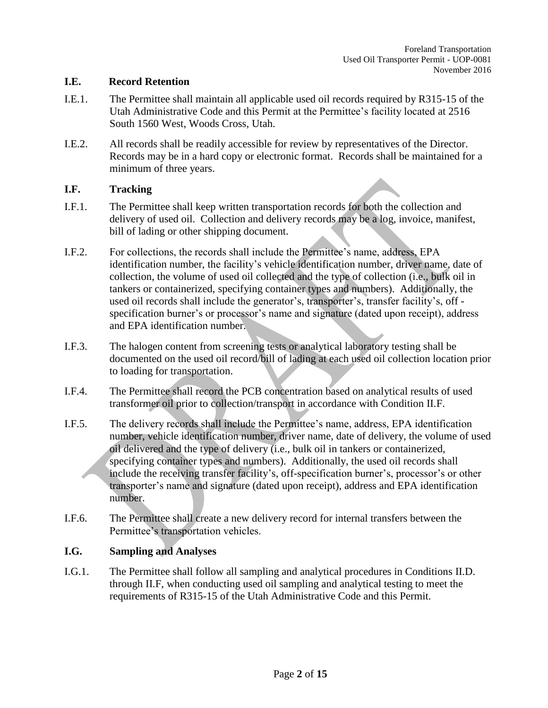#### **I.E. Record Retention**

- I.E.1. The Permittee shall maintain all applicable used oil records required by R315-15 of the Utah Administrative Code and this Permit at the Permittee's facility located at 2516 South 1560 West, Woods Cross, Utah.
- I.E.2. All records shall be readily accessible for review by representatives of the Director. Records may be in a hard copy or electronic format. Records shall be maintained for a minimum of three years.

#### **I.F. Tracking**

- I.F.1. The Permittee shall keep written transportation records for both the collection and delivery of used oil. Collection and delivery records may be a log, invoice, manifest, bill of lading or other shipping document.
- I.F.2. For collections, the records shall include the Permittee's name, address, EPA identification number, the facility's vehicle identification number, driver name, date of collection, the volume of used oil collected and the type of collection (i.e., bulk oil in tankers or containerized, specifying container types and numbers). Additionally, the used oil records shall include the generator's, transporter's, transfer facility's, off specification burner's or processor's name and signature (dated upon receipt), address and EPA identification number.
- I.F.3. The halogen content from screening tests or analytical laboratory testing shall be documented on the used oil record/bill of lading at each used oil collection location prior to loading for transportation.
- I.F.4. The Permittee shall record the PCB concentration based on analytical results of used transformer oil prior to collection/transport in accordance with Condition II.F.
- I.F.5. The delivery records shall include the Permittee's name, address, EPA identification number, vehicle identification number, driver name, date of delivery, the volume of used oil delivered and the type of delivery (i.e., bulk oil in tankers or containerized, specifying container types and numbers). Additionally, the used oil records shall include the receiving transfer facility's, off-specification burner's, processor's or other transporter's name and signature (dated upon receipt), address and EPA identification number.
- I.F.6. The Permittee shall create a new delivery record for internal transfers between the Permittee's transportation vehicles.

#### **I.G. Sampling and Analyses**

I.G.1. The Permittee shall follow all sampling and analytical procedures in Conditions II.D. through II.F, when conducting used oil sampling and analytical testing to meet the requirements of R315-15 of the Utah Administrative Code and this Permit.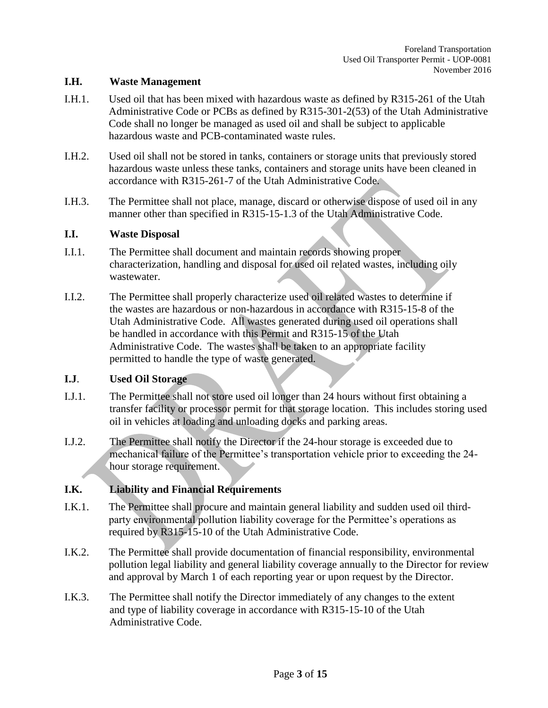#### **I.H. Waste Management**

- I.H.1. Used oil that has been mixed with hazardous waste as defined by R315-261 of the Utah Administrative Code or PCBs as defined by R315-301-2(53) of the Utah Administrative Code shall no longer be managed as used oil and shall be subject to applicable hazardous waste and PCB-contaminated waste rules.
- I.H.2. Used oil shall not be stored in tanks, containers or storage units that previously stored hazardous waste unless these tanks, containers and storage units have been cleaned in accordance with R315-261-7 of the Utah Administrative Code.
- I.H.3. The Permittee shall not place, manage, discard or otherwise dispose of used oil in any manner other than specified in R315-15-1.3 of the Utah Administrative Code.

#### **I.I. Waste Disposal**

- I.I.1. The Permittee shall document and maintain records showing proper characterization, handling and disposal for used oil related wastes, including oily wastewater.
- I.I.2. The Permittee shall properly characterize used oil related wastes to determine if the wastes are hazardous or non-hazardous in accordance with R315-15-8 of the Utah Administrative Code. All wastes generated during used oil operations shall be handled in accordance with this Permit and R315-15 of the Utah Administrative Code. The wastes shall be taken to an appropriate facility permitted to handle the type of waste generated.

## **I.J**. **Used Oil Storage**

- I.J.1. The Permittee shall not store used oil longer than 24 hours without first obtaining a transfer facility or processor permit for that storage location. This includes storing used oil in vehicles at loading and unloading docks and parking areas.
- I.J.2. The Permittee shall notify the Director if the 24-hour storage is exceeded due to mechanical failure of the Permittee's transportation vehicle prior to exceeding the 24 hour storage requirement.

## **I.K. Liability and Financial Requirements**

- I.K.1. The Permittee shall procure and maintain general liability and sudden used oil thirdparty environmental pollution liability coverage for the Permittee's operations as required by R315-15-10 of the Utah Administrative Code.
- I.K.2. The Permittee shall provide documentation of financial responsibility, environmental pollution legal liability and general liability coverage annually to the Director for review and approval by March 1 of each reporting year or upon request by the Director.
- I.K.3. The Permittee shall notify the Director immediately of any changes to the extent and type of liability coverage in accordance with R315-15-10 of the Utah Administrative Code.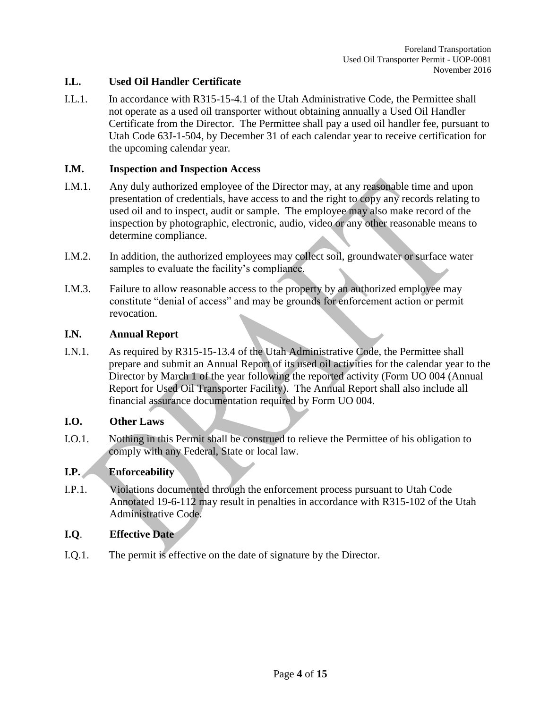## **I.L. Used Oil Handler Certificate**

I.L.1. In accordance with R315-15-4.1 of the Utah Administrative Code, the Permittee shall not operate as a used oil transporter without obtaining annually a Used Oil Handler Certificate from the Director. The Permittee shall pay a used oil handler fee, pursuant to Utah Code 63J-1-504, by December 31 of each calendar year to receive certification for the upcoming calendar year.

### **I.M. Inspection and Inspection Access**

- I.M.1. Any duly authorized employee of the Director may, at any reasonable time and upon presentation of credentials, have access to and the right to copy any records relating to used oil and to inspect, audit or sample. The employee may also make record of the inspection by photographic, electronic, audio, video or any other reasonable means to determine compliance.
- I.M.2. In addition, the authorized employees may collect soil, groundwater or surface water samples to evaluate the facility's compliance.
- I.M.3. Failure to allow reasonable access to the property by an authorized employee may constitute "denial of access" and may be grounds for enforcement action or permit revocation.

### **I.N. Annual Report**

I.N.1. As required by R315-15-13.4 of the Utah Administrative Code, the Permittee shall prepare and submit an Annual Report of its used oil activities for the calendar year to the Director by March 1 of the year following the reported activity (Form UO 004 (Annual Report for Used Oil Transporter Facility). The Annual Report shall also include all financial assurance documentation required by Form UO 004.

#### **I.O. Other Laws**

I.O.1. Nothing in this Permit shall be construed to relieve the Permittee of his obligation to comply with any Federal, State or local law.

## **I.P. Enforceability**

I.P.1. Violations documented through the enforcement process pursuant to Utah Code Annotated 19-6-112 may result in penalties in accordance with R315-102 of the Utah Administrative Code.

## **I.Q**. **Effective Date**

I.Q.1. The permit is effective on the date of signature by the Director.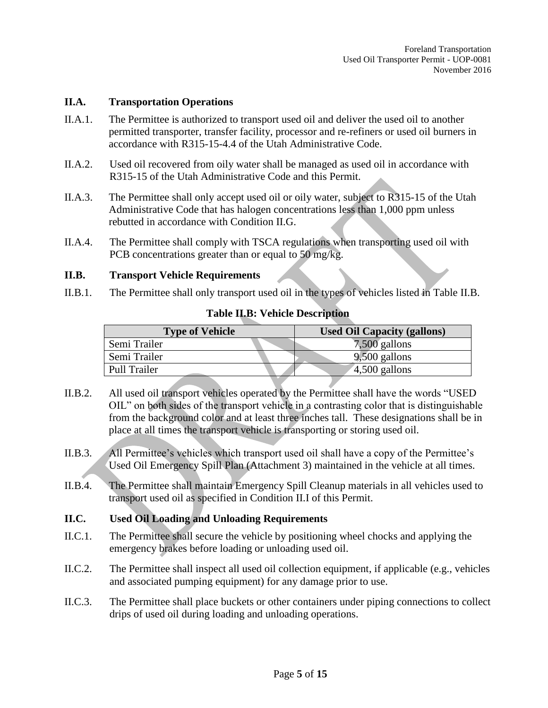#### **II.A. Transportation Operations**

- II.A.1. The Permittee is authorized to transport used oil and deliver the used oil to another permitted transporter, transfer facility, processor and re-refiners or used oil burners in accordance with R315-15-4.4 of the Utah Administrative Code.
- II.A.2. Used oil recovered from oily water shall be managed as used oil in accordance with R315-15 of the Utah Administrative Code and this Permit.
- II.A.3. The Permittee shall only accept used oil or oily water, subject to R315-15 of the Utah Administrative Code that has halogen concentrations less than 1,000 ppm unless rebutted in accordance with Condition II.G.
- II.A.4. The Permittee shall comply with TSCA regulations when transporting used oil with PCB concentrations greater than or equal to 50 mg/kg.

### **II.B. Transport Vehicle Requirements**

II.B.1. The Permittee shall only transport used oil in the types of vehicles listed in Table II.B.

| <b>Type of Vehicle</b> | <b>Used Oil Capacity (gallons)</b> |
|------------------------|------------------------------------|
| Semi Trailer           | $7,500$ gallons                    |
| Semi Trailer           | $9,500$ gallons                    |
| <b>Pull Trailer</b>    | $4,500$ gallons                    |

#### **Table II.B: Vehicle Description**

- II.B.2. All used oil transport vehicles operated by the Permittee shall have the words "USED OIL" on both sides of the transport vehicle in a contrasting color that is distinguishable from the background color and at least three inches tall. These designations shall be in place at all times the transport vehicle is transporting or storing used oil.
- II.B.3. All Permittee's vehicles which transport used oil shall have a copy of the Permittee's Used Oil Emergency Spill Plan (Attachment 3) maintained in the vehicle at all times.
- II.B.4. The Permittee shall maintain Emergency Spill Cleanup materials in all vehicles used to transport used oil as specified in Condition II.I of this Permit.

## **II.C. Used Oil Loading and Unloading Requirements**

- II.C.1. The Permittee shall secure the vehicle by positioning wheel chocks and applying the emergency brakes before loading or unloading used oil.
- II.C.2. The Permittee shall inspect all used oil collection equipment, if applicable (e.g., vehicles and associated pumping equipment) for any damage prior to use.
- II.C.3. The Permittee shall place buckets or other containers under piping connections to collect drips of used oil during loading and unloading operations.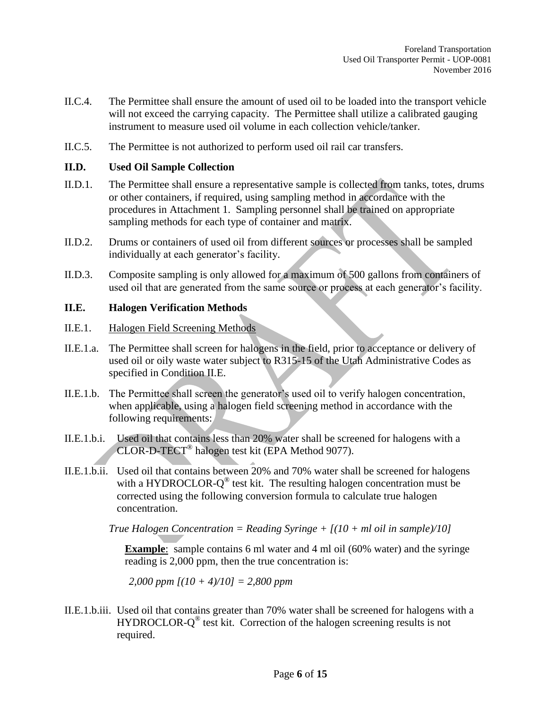- II.C.4. The Permittee shall ensure the amount of used oil to be loaded into the transport vehicle will not exceed the carrying capacity. The Permittee shall utilize a calibrated gauging instrument to measure used oil volume in each collection vehicle/tanker.
- II.C.5. The Permittee is not authorized to perform used oil rail car transfers.

#### **II.D. Used Oil Sample Collection**

- II.D.1. The Permittee shall ensure a representative sample is collected from tanks, totes, drums or other containers, if required, using sampling method in accordance with the procedures in Attachment 1. Sampling personnel shall be trained on appropriate sampling methods for each type of container and matrix.
- II.D.2. Drums or containers of used oil from different sources or processes shall be sampled individually at each generator's facility.
- II.D.3. Composite sampling is only allowed for a maximum of 500 gallons from containers of used oil that are generated from the same source or process at each generator's facility.

#### **II.E. Halogen Verification Methods**

- II.E.1. Halogen Field Screening Methods
- II.E.1.a. The Permittee shall screen for halogens in the field, prior to acceptance or delivery of used oil or oily waste water subject to R315-15 of the Utah Administrative Codes as specified in Condition II.E.
- II.E.1.b. The Permittee shall screen the generator's used oil to verify halogen concentration, when applicable, using a halogen field screening method in accordance with the following requirements:
- II.E.1.b.i. Used oil that contains less than 20% water shall be screened for halogens with a CLOR-D-TECT® halogen test kit (EPA Method 9077).
- II.E.1.b.ii. Used oil that contains between 20% and 70% water shall be screened for halogens with a HYDROCLOR- $Q^{\circledast}$  test kit. The resulting halogen concentration must be corrected using the following conversion formula to calculate true halogen concentration.

*True Halogen Concentration = Reading Syringe + [(10 + ml oil in sample)/10]*

**Example**: sample contains 6 ml water and 4 ml oil (60% water) and the syringe reading is 2,000 ppm, then the true concentration is:

*2,000 ppm [(10 + 4)/10] = 2,800 ppm*

II.E.1.b.iii. Used oil that contains greater than 70% water shall be screened for halogens with a HYDROCLOR-Q<sup>®</sup> test kit. Correction of the halogen screening results is not required.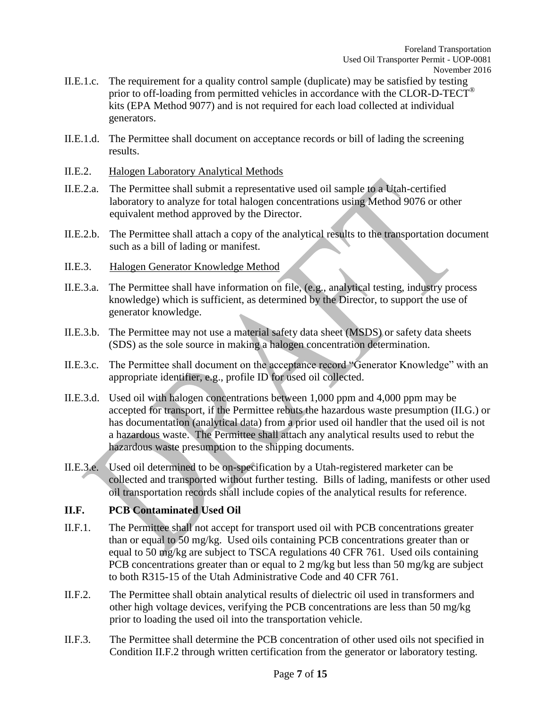- II.E.1.c. The requirement for a quality control sample (duplicate) may be satisfied by testing prior to off-loading from permitted vehicles in accordance with the CLOR-D-TECT® kits (EPA Method 9077) and is not required for each load collected at individual generators.
- II.E.1.d. The Permittee shall document on acceptance records or bill of lading the screening results.
- II.E.2. Halogen Laboratory Analytical Methods
- II.E.2.a. The Permittee shall submit a representative used oil sample to a Utah-certified laboratory to analyze for total halogen concentrations using Method 9076 or other equivalent method approved by the Director.
- II.E.2.b. The Permittee shall attach a copy of the analytical results to the transportation document such as a bill of lading or manifest.
- II.E.3. Halogen Generator Knowledge Method
- II.E.3.a. The Permittee shall have information on file, (e.g., analytical testing, industry process knowledge) which is sufficient, as determined by the Director, to support the use of generator knowledge.
- II.E.3.b. The Permittee may not use a material safety data sheet (MSDS) or safety data sheets (SDS) as the sole source in making a halogen concentration determination.
- II.E.3.c. The Permittee shall document on the acceptance record "Generator Knowledge" with an appropriate identifier, e.g., profile ID for used oil collected.
- II.E.3.d. Used oil with halogen concentrations between 1,000 ppm and 4,000 ppm may be accepted for transport, if the Permittee rebuts the hazardous waste presumption (II.G.) or has documentation (analytical data) from a prior used oil handler that the used oil is not a hazardous waste. The Permittee shall attach any analytical results used to rebut the hazardous waste presumption to the shipping documents.
- II.E.3.e. Used oil determined to be on-specification by a Utah-registered marketer can be collected and transported without further testing. Bills of lading, manifests or other used oil transportation records shall include copies of the analytical results for reference.

## **II.F. PCB Contaminated Used Oil**

- II.F.1. The Permittee shall not accept for transport used oil with PCB concentrations greater than or equal to 50 mg/kg. Used oils containing PCB concentrations greater than or equal to 50 mg/kg are subject to TSCA regulations 40 CFR 761. Used oils containing PCB concentrations greater than or equal to 2 mg/kg but less than 50 mg/kg are subject to both R315-15 of the Utah Administrative Code and 40 CFR 761.
- II.F.2. The Permittee shall obtain analytical results of dielectric oil used in transformers and other high voltage devices, verifying the PCB concentrations are less than 50 mg/kg prior to loading the used oil into the transportation vehicle.
- II.F.3. The Permittee shall determine the PCB concentration of other used oils not specified in Condition II.F.2 through written certification from the generator or laboratory testing.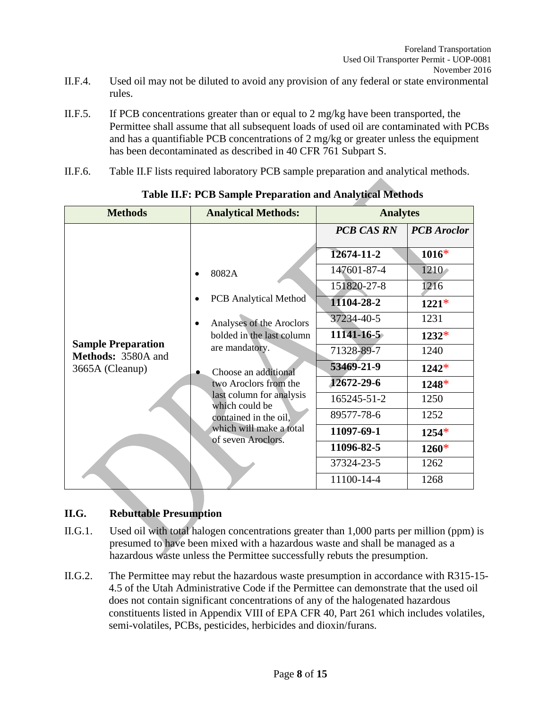- II.F.4. Used oil may not be diluted to avoid any provision of any federal or state environmental rules.
- II.F.5. If PCB concentrations greater than or equal to 2 mg/kg have been transported, the Permittee shall assume that all subsequent loads of used oil are contaminated with PCBs and has a quantifiable PCB concentrations of 2 mg/kg or greater unless the equipment has been decontaminated as described in 40 CFR 761 Subpart S.
- II.F.6. Table II.F lists required laboratory PCB sample preparation and analytical methods.

| <b>Methods</b>                                  | <b>Analytical Methods:</b>                                                               | <b>Analytes</b>                                |                                       |
|-------------------------------------------------|------------------------------------------------------------------------------------------|------------------------------------------------|---------------------------------------|
|                                                 |                                                                                          | <b>PCB CAS RN</b><br>12674-11-2<br>147601-87-4 | <b>PCB</b> Aroclor<br>$1016*$<br>1210 |
|                                                 | 8082A<br><b>PCB</b> Analytical Method                                                    | 151820-27-8<br>11104-28-2                      | 1216<br>$1221*$                       |
| <b>Sample Preparation</b><br>Methods: 3580A and | Analyses of the Aroclors<br>bolded in the last column<br>are mandatory.                  | 37234-40-5<br>$11141 - 16 - 5$<br>71328-89-7   | 1231<br>$1232*$<br>1240               |
| 3665A (Cleanup)                                 | Choose an additional<br>two Aroclors from the<br>last column for analysis                | 53469-21-9<br>12672-29-6<br>165245-51-2        | $1242*$<br>$1248*$<br>1250            |
|                                                 | which could be<br>contained in the oil,<br>which will make a total<br>of seven Aroclors. | 89577-78-6<br>11097-69-1                       | 1252<br>$1254*$                       |
|                                                 |                                                                                          | 11096-82-5<br>37324-23-5<br>11100-14-4         | $1260*$<br>1262<br>1268               |

**Table II.F: PCB Sample Preparation and Analytical Methods**

## **II.G. Rebuttable Presumption**

- II.G.1. Used oil with total halogen concentrations greater than 1,000 parts per million (ppm) is presumed to have been mixed with a hazardous waste and shall be managed as a hazardous waste unless the Permittee successfully rebuts the presumption.
- II.G.2. The Permittee may rebut the hazardous waste presumption in accordance with R315-15- 4.5 of the Utah Administrative Code if the Permittee can demonstrate that the used oil does not contain significant concentrations of any of the halogenated hazardous constituents listed in Appendix VIII of EPA CFR 40, Part 261 which includes volatiles, semi-volatiles, PCBs, pesticides, herbicides and dioxin/furans.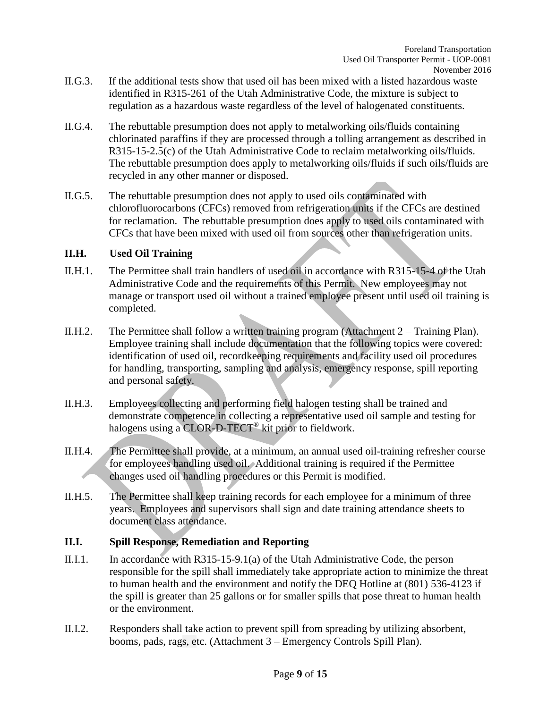- II.G.3. If the additional tests show that used oil has been mixed with a listed hazardous waste identified in R315-261 of the Utah Administrative Code, the mixture is subject to regulation as a hazardous waste regardless of the level of halogenated constituents.
- II.G.4. The rebuttable presumption does not apply to metalworking oils/fluids containing chlorinated paraffins if they are processed through a tolling arrangement as described in R315-15-2.5(c) of the Utah Administrative Code to reclaim metalworking oils/fluids. The rebuttable presumption does apply to metalworking oils/fluids if such oils/fluids are recycled in any other manner or disposed.
- II.G.5. The rebuttable presumption does not apply to used oils contaminated with chlorofluorocarbons (CFCs) removed from refrigeration units if the CFCs are destined for reclamation. The rebuttable presumption does apply to used oils contaminated with CFCs that have been mixed with used oil from sources other than refrigeration units.

### **II.H. Used Oil Training**

- II.H.1. The Permittee shall train handlers of used oil in accordance with R315-15-4 of the Utah Administrative Code and the requirements of this Permit. New employees may not manage or transport used oil without a trained employee present until used oil training is completed.
- II.H.2. The Permittee shall follow a written training program (Attachment 2 Training Plan). Employee training shall include documentation that the following topics were covered: identification of used oil, recordkeeping requirements and facility used oil procedures for handling, transporting, sampling and analysis, emergency response, spill reporting and personal safety.
- II.H.3. Employees collecting and performing field halogen testing shall be trained and demonstrate competence in collecting a representative used oil sample and testing for halogens using a CLOR-D-TECT<sup>®</sup> kit prior to fieldwork.
- II.H.4. The Permittee shall provide, at a minimum, an annual used oil-training refresher course for employees handling used oil. Additional training is required if the Permittee changes used oil handling procedures or this Permit is modified.
- II.H.5. The Permittee shall keep training records for each employee for a minimum of three years. Employees and supervisors shall sign and date training attendance sheets to document class attendance.

## **II.I. Spill Response, Remediation and Reporting**

- II.I.1. In accordance with R315-15-9.1(a) of the Utah Administrative Code, the person responsible for the spill shall immediately take appropriate action to minimize the threat to human health and the environment and notify the DEQ Hotline at (801) 536-4123 if the spill is greater than 25 gallons or for smaller spills that pose threat to human health or the environment.
- II.I.2. Responders shall take action to prevent spill from spreading by utilizing absorbent, booms, pads, rags, etc. (Attachment 3 – Emergency Controls Spill Plan).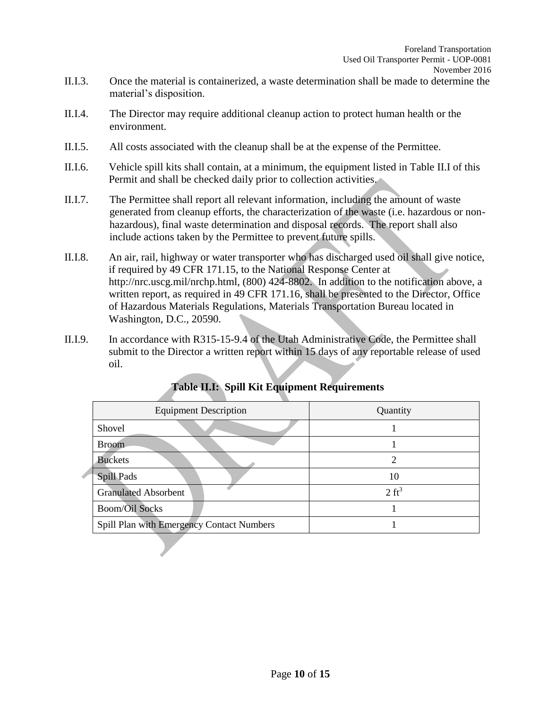- II.I.3. Once the material is containerized, a waste determination shall be made to determine the material's disposition.
- II.I.4. The Director may require additional cleanup action to protect human health or the environment.
- II.I.5. All costs associated with the cleanup shall be at the expense of the Permittee.
- II.I.6. Vehicle spill kits shall contain, at a minimum, the equipment listed in Table II.I of this Permit and shall be checked daily prior to collection activities.
- II.I.7. The Permittee shall report all relevant information, including the amount of waste generated from cleanup efforts, the characterization of the waste (i.e. hazardous or nonhazardous), final waste determination and disposal records. The report shall also include actions taken by the Permittee to prevent future spills.
- II.I.8. An air, rail, highway or water transporter who has discharged used oil shall give notice, if required by 49 CFR 171.15, to the National Response Center at http://nrc.uscg.mil/nrchp.html, (800) 424-8802. In addition to the notification above, a written report, as required in 49 CFR 171.16, shall be presented to the Director, Office of Hazardous Materials Regulations, Materials Transportation Bureau located in Washington, D.C., 20590.
- II.I.9. In accordance with R315-15-9.4 of the Utah Administrative Code, the Permittee shall submit to the Director a written report within 15 days of any reportable release of used oil.

| <b>Equipment Description</b>              | Quantity         |
|-------------------------------------------|------------------|
| Shovel                                    |                  |
| <b>Broom</b>                              |                  |
| <b>Buckets</b>                            |                  |
| <b>Spill Pads</b>                         | 10               |
| <b>Granulated Absorbent</b>               | $2 \text{ ft}^3$ |
| <b>Boom/Oil Socks</b>                     |                  |
| Spill Plan with Emergency Contact Numbers |                  |

## **Table II.I: Spill Kit Equipment Requirements**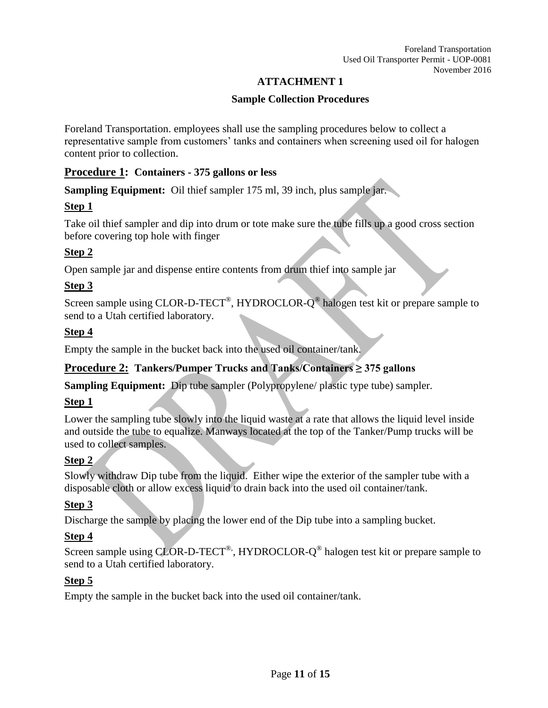## **ATTACHMENT 1**

## **Sample Collection Procedures**

Foreland Transportation. employees shall use the sampling procedures below to collect a representative sample from customers' tanks and containers when screening used oil for halogen content prior to collection.

## **Procedure 1: Containers - 375 gallons or less**

**Sampling Equipment:** Oil thief sampler 175 ml, 39 inch, plus sample jar.

## **Step 1**

Take oil thief sampler and dip into drum or tote make sure the tube fills up a good cross section before covering top hole with finger

## **Step 2**

Open sample jar and dispense entire contents from drum thief into sample jar

## **Step 3**

Screen sample using CLOR-D-TECT<sup>®</sup>, HYDROCLOR- $Q^{\circledast}$  halogen test kit or prepare sample to send to a Utah certified laboratory.

## **Step 4**

Empty the sample in the bucket back into the used oil container/tank.

## **Procedure 2: Tankers/Pumper Trucks and Tanks/Containers ≥ 375 gallons**

**Sampling Equipment:** Dip tube sampler (Polypropylene/ plastic type tube) sampler.

## **Step 1**

Lower the sampling tube slowly into the liquid waste at a rate that allows the liquid level inside and outside the tube to equalize. Manways located at the top of the Tanker/Pump trucks will be used to collect samples.

## **Step 2**

Slowly withdraw Dip tube from the liquid. Either wipe the exterior of the sampler tube with a disposable cloth or allow excess liquid to drain back into the used oil container/tank.

## **Step 3**

Discharge the sample by placing the lower end of the Dip tube into a sampling bucket.

## **Step 4**

Screen sample using CLOR-D-TECT<sup>®</sup>, HYDROCLOR- $Q^{\circledast}$  halogen test kit or prepare sample to send to a Utah certified laboratory.

## **Step 5**

Empty the sample in the bucket back into the used oil container/tank.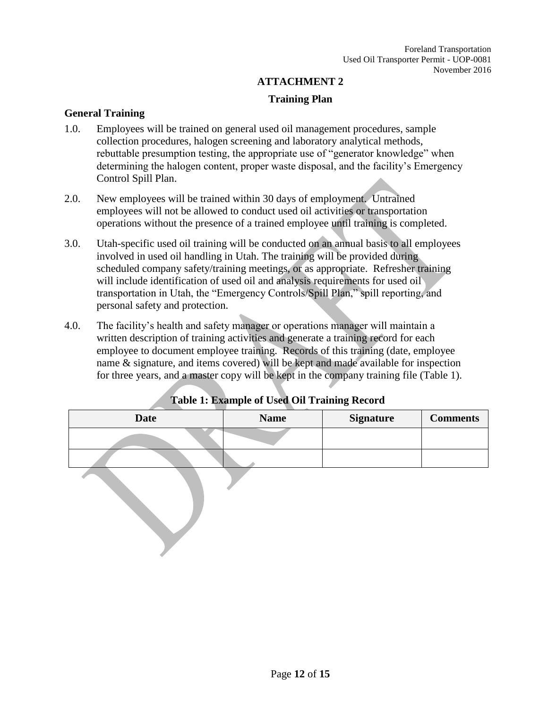#### **ATTACHMENT 2**

#### **Training Plan**

#### **General Training**

- 1.0. Employees will be trained on general used oil management procedures, sample collection procedures, halogen screening and laboratory analytical methods, rebuttable presumption testing, the appropriate use of "generator knowledge" when determining the halogen content, proper waste disposal, and the facility's Emergency Control Spill Plan.
- 2.0. New employees will be trained within 30 days of employment. Untrained employees will not be allowed to conduct used oil activities or transportation operations without the presence of a trained employee until training is completed.
- 3.0. Utah-specific used oil training will be conducted on an annual basis to all employees involved in used oil handling in Utah. The training will be provided during scheduled company safety/training meetings, or as appropriate. Refresher training will include identification of used oil and analysis requirements for used oil transportation in Utah, the "Emergency Controls/Spill Plan," spill reporting, and personal safety and protection.
- 4.0. The facility's health and safety manager or operations manager will maintain a written description of training activities and generate a training record for each employee to document employee training. Records of this training (date, employee name & signature, and items covered) will be kept and made available for inspection for three years, and a master copy will be kept in the company training file (Table 1).

| <b>Date</b> | <b>Name</b> | <b>Signature</b> | <b>Comments</b> |
|-------------|-------------|------------------|-----------------|
|             |             |                  |                 |
|             |             |                  |                 |
|             |             |                  |                 |

## **Table 1: Example of Used Oil Training Record**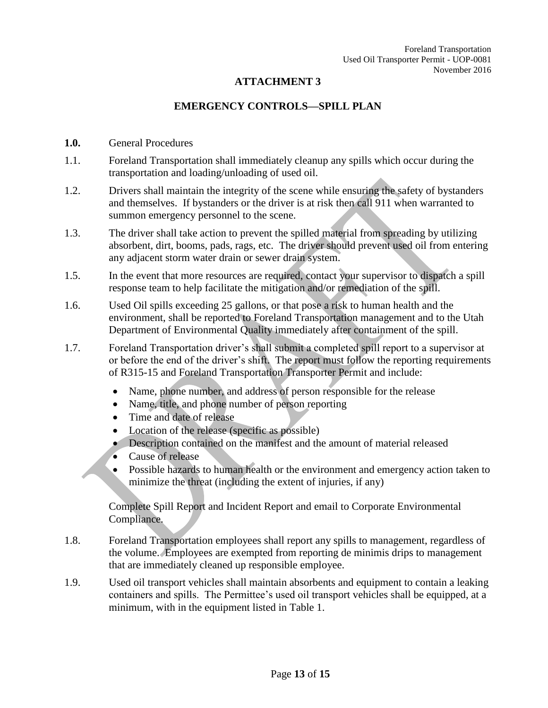### **ATTACHMENT 3**

#### **EMERGENCY CONTROLS—SPILL PLAN**

- **1.0.** General Procedures
- 1.1. Foreland Transportation shall immediately cleanup any spills which occur during the transportation and loading/unloading of used oil.
- 1.2. Drivers shall maintain the integrity of the scene while ensuring the safety of bystanders and themselves. If bystanders or the driver is at risk then call 911 when warranted to summon emergency personnel to the scene.
- 1.3. The driver shall take action to prevent the spilled material from spreading by utilizing absorbent, dirt, booms, pads, rags, etc. The driver should prevent used oil from entering any adjacent storm water drain or sewer drain system.
- 1.5. In the event that more resources are required, contact your supervisor to dispatch a spill response team to help facilitate the mitigation and/or remediation of the spill.
- 1.6. Used Oil spills exceeding 25 gallons, or that pose a risk to human health and the environment, shall be reported to Foreland Transportation management and to the Utah Department of Environmental Quality immediately after containment of the spill.
- 1.7. Foreland Transportation driver's shall submit a completed spill report to a supervisor at or before the end of the driver's shift. The report must follow the reporting requirements of R315-15 and Foreland Transportation Transporter Permit and include:
	- Name, phone number, and address of person responsible for the release
	- Name, title, and phone number of person reporting
	- Time and date of release
	- Location of the release (specific as possible)
	- Description contained on the manifest and the amount of material released
	- Cause of release
	- Possible hazards to human health or the environment and emergency action taken to minimize the threat (including the extent of injuries, if any)

Complete Spill Report and Incident Report and email to Corporate Environmental Compliance.

- 1.8. Foreland Transportation employees shall report any spills to management, regardless of the volume. Employees are exempted from reporting de minimis drips to management that are immediately cleaned up responsible employee.
- 1.9. Used oil transport vehicles shall maintain absorbents and equipment to contain a leaking containers and spills. The Permittee's used oil transport vehicles shall be equipped, at a minimum, with in the equipment listed in Table 1.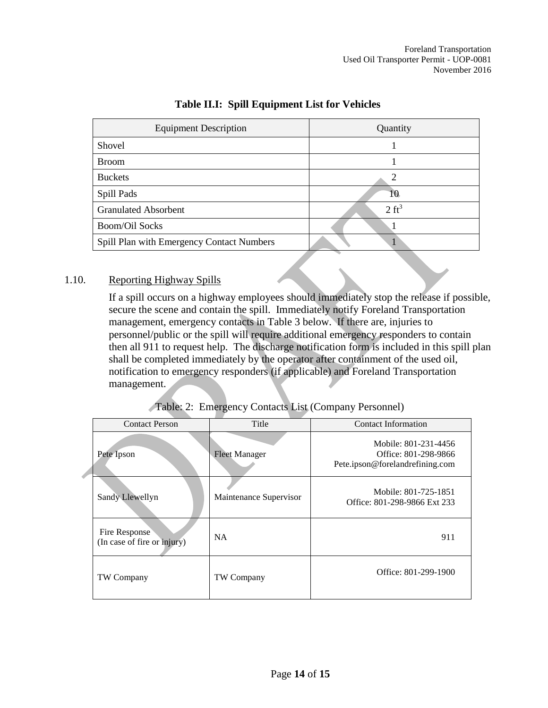| <b>Equipment Description</b>              | Quantity         |
|-------------------------------------------|------------------|
| Shovel                                    |                  |
| <b>Broom</b>                              |                  |
| <b>Buckets</b>                            |                  |
| Spill Pads                                | 10               |
| <b>Granulated Absorbent</b>               | $2 \text{ ft}^3$ |
| <b>Boom/Oil Socks</b>                     |                  |
| Spill Plan with Emergency Contact Numbers |                  |

## **Table II.I: Spill Equipment List for Vehicles**

### 1.10. Reporting Highway Spills

d

If a spill occurs on a highway employees should immediately stop the release if possible, secure the scene and contain the spill. Immediately notify Foreland Transportation management, emergency contacts in Table 3 below. If there are, injuries to personnel/public or the spill will require additional emergency responders to contain then all 911 to request help. The discharge notification form is included in this spill plan shall be completed immediately by the operator after containment of the used oil, notification to emergency responders (if applicable) and Foreland Transportation management.

|  | Table: 2: Emergency Contacts List (Company Personnel) |  |
|--|-------------------------------------------------------|--|
|  |                                                       |  |

| <b>Contact Person</b>                        | Title                  | <b>Contact Information</b>                                                      |
|----------------------------------------------|------------------------|---------------------------------------------------------------------------------|
| Pete Ipson                                   | <b>Fleet Manager</b>   | Mobile: 801-231-4456<br>Office: 801-298-9866<br>Pete.ipson@forelandrefining.com |
| Sandy Llewellyn                              | Maintenance Supervisor | Mobile: 801-725-1851<br>Office: 801-298-9866 Ext 233                            |
| Fire Response<br>(In case of fire or injury) | <b>NA</b>              | 911                                                                             |
| TW Company                                   | TW Company             | Office: 801-299-1900                                                            |